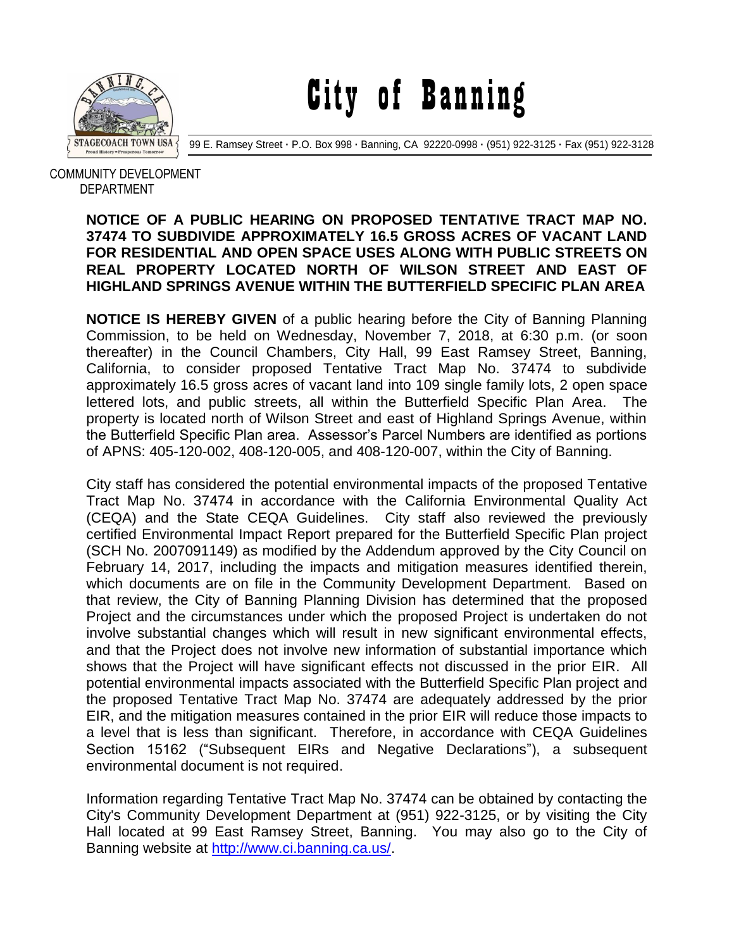

City of Banning

99 E. Ramsey Street **·** P.O. Box 998 **·** Banning, CA 92220-0998 **·** (951) 922-3125 **·** Fax (951) 922-3128

 COMMUNITY DEVELOPMENT DEPARTMENT

## **NOTICE OF A PUBLIC HEARING ON PROPOSED TENTATIVE TRACT MAP NO. 37474 TO SUBDIVIDE APPROXIMATELY 16.5 GROSS ACRES OF VACANT LAND FOR RESIDENTIAL AND OPEN SPACE USES ALONG WITH PUBLIC STREETS ON REAL PROPERTY LOCATED NORTH OF WILSON STREET AND EAST OF HIGHLAND SPRINGS AVENUE WITHIN THE BUTTERFIELD SPECIFIC PLAN AREA**

**NOTICE IS HEREBY GIVEN** of a public hearing before the City of Banning Planning Commission, to be held on Wednesday, November 7, 2018, at 6:30 p.m. (or soon thereafter) in the Council Chambers, City Hall, 99 East Ramsey Street, Banning, California, to consider proposed Tentative Tract Map No. 37474 to subdivide approximately 16.5 gross acres of vacant land into 109 single family lots, 2 open space lettered lots, and public streets, all within the Butterfield Specific Plan Area. The property is located north of Wilson Street and east of Highland Springs Avenue, within the Butterfield Specific Plan area. Assessor's Parcel Numbers are identified as portions of APNS: 405-120-002, 408-120-005, and 408-120-007, within the City of Banning.

City staff has considered the potential environmental impacts of the proposed Tentative Tract Map No. 37474 in accordance with the California Environmental Quality Act (CEQA) and the State CEQA Guidelines. City staff also reviewed the previously certified Environmental Impact Report prepared for the Butterfield Specific Plan project (SCH No. 2007091149) as modified by the Addendum approved by the City Council on February 14, 2017, including the impacts and mitigation measures identified therein, which documents are on file in the Community Development Department. Based on that review, the City of Banning Planning Division has determined that the proposed Project and the circumstances under which the proposed Project is undertaken do not involve substantial changes which will result in new significant environmental effects, and that the Project does not involve new information of substantial importance which shows that the Project will have significant effects not discussed in the prior EIR. All potential environmental impacts associated with the Butterfield Specific Plan project and the proposed Tentative Tract Map No. 37474 are adequately addressed by the prior EIR, and the mitigation measures contained in the prior EIR will reduce those impacts to a level that is less than significant. Therefore, in accordance with CEQA Guidelines Section 15162 ("Subsequent EIRs and Negative Declarations"), a subsequent environmental document is not required.

Information regarding Tentative Tract Map No. 37474 can be obtained by contacting the City's Community Development Department at (951) 922-3125, or by visiting the City Hall located at 99 East Ramsey Street, Banning. You may also go to the City of Banning website at [http://www.ci.banning.ca.us/.](http://www.ci.banning.ca.us/)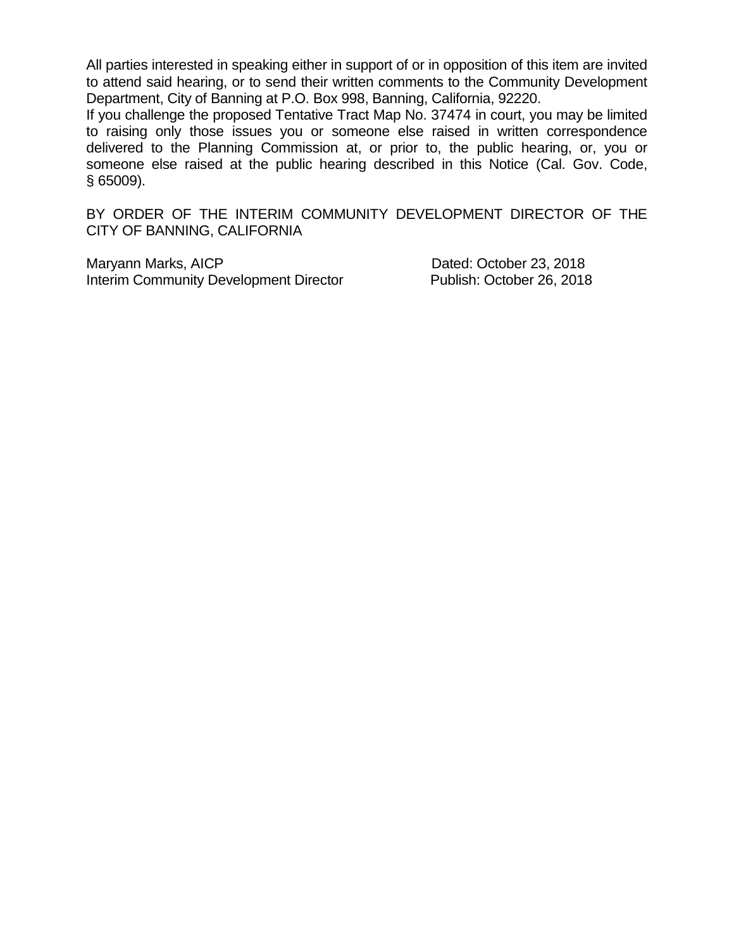All parties interested in speaking either in support of or in opposition of this item are invited to attend said hearing, or to send their written comments to the Community Development Department, City of Banning at P.O. Box 998, Banning, California, 92220.

If you challenge the proposed Tentative Tract Map No. 37474 in court, you may be limited to raising only those issues you or someone else raised in written correspondence delivered to the Planning Commission at, or prior to, the public hearing, or, you or someone else raised at the public hearing described in this Notice (Cal. Gov. Code, § 65009).

BY ORDER OF THE INTERIM COMMUNITY DEVELOPMENT DIRECTOR OF THE CITY OF BANNING, CALIFORNIA

Maryann Marks, AICP Dated: October 23, 2018 Interim Community Development Director Publish: October 26, 2018